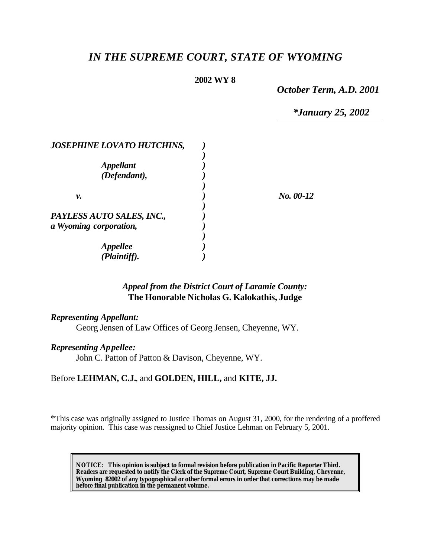# *IN THE SUPREME COURT, STATE OF WYOMING*

## **2002 WY 8**

*October Term, A.D. 2001*

*\*January 25, 2002*

| <b>JOSEPHINE LOVATO HUTCHINS,</b> |           |
|-----------------------------------|-----------|
|                                   |           |
| <i><b>Appellant</b></i>           |           |
| (Defendant),                      |           |
|                                   |           |
| v.                                | No. 00-12 |
|                                   |           |
| PAYLESS AUTO SALES, INC.,         |           |
| a Wyoming corporation,            |           |
|                                   |           |
| <b>Appellee</b>                   |           |
| (Plaintiff).                      |           |

# *Appeal from the District Court of Laramie County:* **The Honorable Nicholas G. Kalokathis, Judge**

#### *Representing Appellant:*

Georg Jensen of Law Offices of Georg Jensen, Cheyenne, WY.

#### *Representing Appellee:*

John C. Patton of Patton & Davison, Cheyenne, WY.

#### Before **LEHMAN, C.J.**, and **GOLDEN, HILL,** and **KITE, JJ.**

\*This case was originally assigned to Justice Thomas on August 31, 2000, for the rendering of a proffered majority opinion. This case was reassigned to Chief Justice Lehman on February 5, 2001.

**NOTICE:** *This opinion is subject to formal revision before publication in Pacific Reporter Third. Readers are requested to notify the Clerk of the Supreme Court, Supreme Court Building, Cheyenne, Wyoming 82002 of any typographical or other formal errors in order that corrections may be made before final publication in the permanent volume.*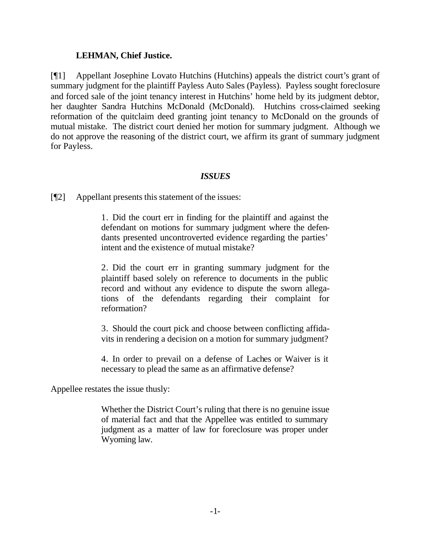## **LEHMAN, Chief Justice.**

[¶1] Appellant Josephine Lovato Hutchins (Hutchins) appeals the district court's grant of summary judgment for the plaintiff Payless Auto Sales (Payless). Payless sought foreclosure and forced sale of the joint tenancy interest in Hutchins' home held by its judgment debtor, her daughter Sandra Hutchins McDonald (McDonald). Hutchins cross-claimed seeking reformation of the quitclaim deed granting joint tenancy to McDonald on the grounds of mutual mistake. The district court denied her motion for summary judgment. Although we do not approve the reasoning of the district court, we affirm its grant of summary judgment for Payless.

#### *ISSUES*

[¶2] Appellant presents this statement of the issues:

1. Did the court err in finding for the plaintiff and against the defendant on motions for summary judgment where the defendants presented uncontroverted evidence regarding the parties' intent and the existence of mutual mistake?

2. Did the court err in granting summary judgment for the plaintiff based solely on reference to documents in the public record and without any evidence to dispute the sworn allegations of the defendants regarding their complaint for reformation?

3. Should the court pick and choose between conflicting affidavits in rendering a decision on a motion for summary judgment?

4. In order to prevail on a defense of Laches or Waiver is it necessary to plead the same as an affirmative defense?

Appellee restates the issue thusly:

Whether the District Court's ruling that there is no genuine issue of material fact and that the Appellee was entitled to summary judgment as a matter of law for foreclosure was proper under Wyoming law.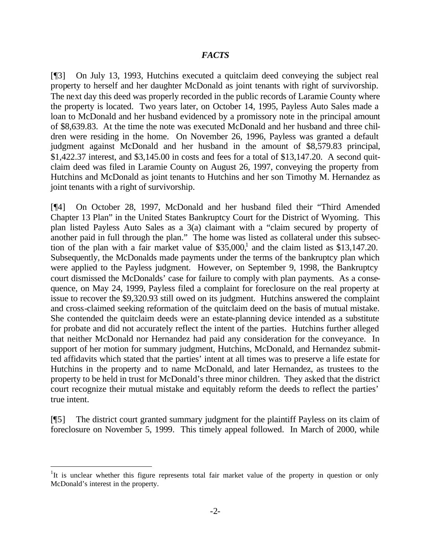#### *FACTS*

[¶3] On July 13, 1993, Hutchins executed a quitclaim deed conveying the subject real property to herself and her daughter McDonald as joint tenants with right of survivorship. The next day this deed was properly recorded in the public records of Laramie County where the property is located. Two years later, on October 14, 1995, Payless Auto Sales made a loan to McDonald and her husband evidenced by a promissory note in the principal amount of \$8,639.83. At the time the note was executed McDonald and her husband and three children were residing in the home. On November 26, 1996, Payless was granted a default judgment against McDonald and her husband in the amount of \$8,579.83 principal, \$1,422.37 interest, and \$3,145.00 in costs and fees for a total of \$13,147.20. A second quitclaim deed was filed in Laramie County on August 26, 1997, conveying the property from Hutchins and McDonald as joint tenants to Hutchins and her son Timothy M. Hernandez as joint tenants with a right of survivorship.

[¶4] On October 28, 1997, McDonald and her husband filed their "Third Amended Chapter 13 Plan" in the United States Bankruptcy Court for the District of Wyoming. This plan listed Payless Auto Sales as a 3(a) claimant with a "claim secured by property of another paid in full through the plan." The home was listed as collateral under this subsection of the plan with a fair market value of  $$35,000$ ,<sup>1</sup> and the claim listed as  $$13,147.20$ . Subsequently, the McDonalds made payments under the terms of the bankruptcy plan which were applied to the Payless judgment. However, on September 9, 1998, the Bankruptcy court dismissed the McDonalds' case for failure to comply with plan payments. As a consequence, on May 24, 1999, Payless filed a complaint for foreclosure on the real property at issue to recover the \$9,320.93 still owed on its judgment. Hutchins answered the complaint and cross-claimed seeking reformation of the quitclaim deed on the basis of mutual mistake. She contended the quitclaim deeds were an estate-planning device intended as a substitute for probate and did not accurately reflect the intent of the parties. Hutchins further alleged that neither McDonald nor Hernandez had paid any consideration for the conveyance. In support of her motion for summary judgment, Hutchins, McDonald, and Hernandez submitted affidavits which stated that the parties' intent at all times was to preserve a life estate for Hutchins in the property and to name McDonald, and later Hernandez, as trustees to the property to be held in trust for McDonald's three minor children. They asked that the district court recognize their mutual mistake and equitably reform the deeds to reflect the parties' true intent.

[¶5] The district court granted summary judgment for the plaintiff Payless on its claim of foreclosure on November 5, 1999. This timely appeal followed. In March of 2000, while

<sup>&</sup>lt;sup>1</sup>It is unclear whether this figure represents total fair market value of the property in question or only McDonald's interest in the property.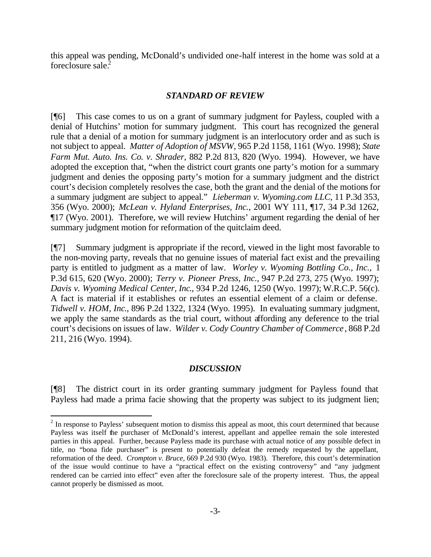this appeal was pending, McDonald's undivided one-half interest in the home was sold at a foreclosure sale.<sup>2</sup>

# *STANDARD OF REVIEW*

[¶6] This case comes to us on a grant of summary judgment for Payless, coupled with a denial of Hutchins' motion for summary judgment. This court has recognized the general rule that a denial of a motion for summary judgment is an interlocutory order and as such is not subject to appeal. *Matter of Adoption of MSVW*, 965 P.2d 1158, 1161 (Wyo. 1998); *State Farm Mut. Auto. Ins. Co. v. Shrader*, 882 P.2d 813, 820 (Wyo. 1994). However, we have adopted the exception that, "when the district court grants one party's motion for a summary judgment and denies the opposing party's motion for a summary judgment and the district court's decision completely resolves the case, both the grant and the denial of the motions for a summary judgment are subject to appeal." *Lieberman v. Wyoming.com LLC*, 11 P.3d 353, 356 (Wyo. 2000); *McLean v. Hyland Enterprises, Inc.*, 2001 WY 111, ¶17, 34 P.3d 1262, ¶17 (Wyo. 2001). Therefore, we will review Hutchins' argument regarding the denial of her summary judgment motion for reformation of the quitclaim deed.

[¶7] Summary judgment is appropriate if the record, viewed in the light most favorable to the non-moving party, reveals that no genuine issues of material fact exist and the prevailing party is entitled to judgment as a matter of law. *Worley v. Wyoming Bottling Co., Inc.,* 1 P.3d 615, 620 (Wyo. 2000); *Terry v. Pioneer Press, Inc.,* 947 P.2d 273, 275 (Wyo. 1997); *Davis v. Wyoming Medical Center, Inc*., 934 P.2d 1246, 1250 (Wyo. 1997); W.R.C.P. 56(c). A fact is material if it establishes or refutes an essential element of a claim or defense. *Tidwell v. HOM, Inc*., 896 P.2d 1322, 1324 (Wyo. 1995). In evaluating summary judgment, we apply the same standards as the trial court, without affording any deference to the trial court's decisions on issues of law. *Wilder v. Cody Country Chamber of Commerce* , 868 P.2d 211, 216 (Wyo. 1994).

# *DISCUSSION*

[¶8] The district court in its order granting summary judgment for Payless found that Payless had made a prima facie showing that the property was subject to its judgment lien;

 $2^{2}$  In response to Payless' subsequent motion to dismiss this appeal as moot, this court determined that because Payless was itself the purchaser of McDonald's interest, appellant and appellee remain the sole interested parties in this appeal. Further, because Payless made its purchase with actual notice of any possible defect in title, no "bona fide purchaser" is present to potentially defeat the remedy requested by the appellant, reformation of the deed. *Crompton v. Bruce,* 669 P.2d 930 (Wyo. 1983). Therefore, this court's determination of the issue would continue to have a "practical effect on the existing controversy" and "any judgment rendered can be carried into effect" even after the foreclosure sale of the property interest. Thus, the appeal cannot properly be dismissed as moot.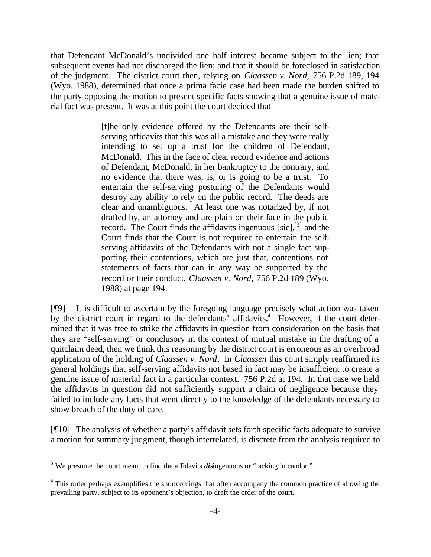that Defendant McDonald's undivided one half interest became subject to the lien; that subsequent events had not discharged the lien; and that it should be foreclosed in satisfaction of the judgment. The district court then, relying on *Claassen v. Nord,* 756 P.2d 189, 194 (Wyo. 1988), determined that once a prima facie case had been made the burden shifted to the party opposing the motion to present specific facts showing that a genuine issue of material fact was present. It was at this point the court decided that

> [t]he only evidence offered by the Defendants are their selfserving affidavits that this was all a mistake and they were really intending to set up a trust for the children of Defendant, McDonald. This in the face of clear record evidence and actions of Defendant, McDonald, in her bankruptcy to the contrary, and no evidence that there was, is, or is going to be a trust. To entertain the self-serving posturing of the Defendants would destroy any ability to rely on the public record. The deeds are clear and unambiguous. At least one was notarized by, if not drafted by, an attorney and are plain on their face in the public record. The Court finds the affidavits ingenuous  $[\text{sic}]$ ,  $^{[3]}$  and the Court finds that the Court is not required to entertain the selfserving affidavits of the Defendants with not a single fact supporting their contentions, which are just that, contentions not statements of facts that can in any way be supported by the record or their conduct. *Claassen v. Nord,* 756 P.2d 189 (Wyo. 1988) at page 194.

[¶9] It is difficult to ascertain by the foregoing language precisely what action was taken by the district court in regard to the defendants' affidavits.<sup>4</sup> However, if the court determined that it was free to strike the affidavits in question from consideration on the basis that they are "self-serving" or conclusory in the context of mutual mistake in the drafting of a quitclaim deed, then we think this reasoning by the district court is erroneous as an overbroad application of the holding of *Claassen v. Nord*. In *Claassen* this court simply reaffirmed its general holdings that self-serving affidavits not based in fact may be insufficient to create a genuine issue of material fact in a particular context. 756 P.2d at 194. In that case we held the affidavits in question did not sufficiently support a claim of negligence because they failed to include any facts that went directly to the knowledge of the defendants necessary to show breach of the duty of care.

[¶10] The analysis of whether a party's affidavit sets forth specific facts adequate to survive a motion for summary judgment, though interrelated, is discrete from the analysis required to

<sup>&</sup>lt;sup>3</sup> We presume the court meant to find the affidavits *dis*ingenuous or "lacking in candor."

<sup>&</sup>lt;sup>4</sup> This order perhaps exemplifies the shortcomings that often accompany the common practice of allowing the prevailing party, subject to its opponent's objection, to draft the order of the court.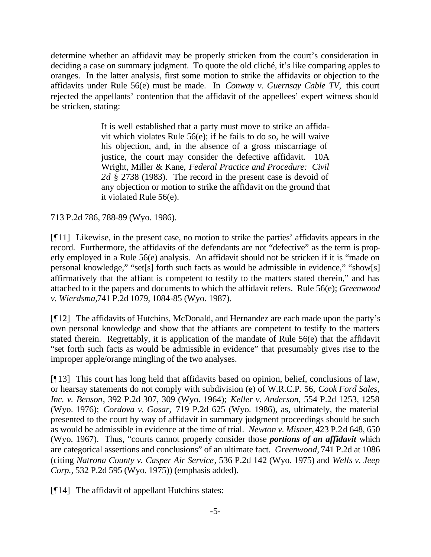determine whether an affidavit may be properly stricken from the court's consideration in deciding a case on summary judgment. To quote the old cliché, it's like comparing apples to oranges. In the latter analysis, first some motion to strike the affidavits or objection to the affidavits under Rule 56(e) must be made. In *Conway v. Guernsay Cable TV,* this court rejected the appellants' contention that the affidavit of the appellees' expert witness should be stricken, stating:

> It is well established that a party must move to strike an affidavit which violates Rule 56(e); if he fails to do so, he will waive his objection, and, in the absence of a gross miscarriage of justice, the court may consider the defective affidavit. 10A Wright, Miller & Kane, *Federal Practice and Procedure: Civil 2d* § 2738 (1983). The record in the present case is devoid of any objection or motion to strike the affidavit on the ground that it violated Rule 56(e).

713 P.2d 786, 788-89 (Wyo. 1986).

[¶11] Likewise, in the present case, no motion to strike the parties' affidavits appears in the record. Furthermore, the affidavits of the defendants are not "defective" as the term is properly employed in a Rule 56(e) analysis. An affidavit should not be stricken if it is "made on personal knowledge," "set[s] forth such facts as would be admissible in evidence," "show[s] affirmatively that the affiant is competent to testify to the matters stated therein," and has attached to it the papers and documents to which the affidavit refers. Rule 56(e); *Greenwood v. Wierdsma,*741 P.2d 1079, 1084-85 (Wyo. 1987).

[¶12] The affidavits of Hutchins, McDonald, and Hernandez are each made upon the party's own personal knowledge and show that the affiants are competent to testify to the matters stated therein. Regrettably, it is application of the mandate of Rule 56(e) that the affidavit "set forth such facts as would be admissible in evidence" that presumably gives rise to the improper apple/orange mingling of the two analyses.

[¶13] This court has long held that affidavits based on opinion, belief, conclusions of law, or hearsay statements do not comply with subdivision (e) of W.R.C.P. 56, *Cook Ford Sales, Inc. v. Benson*, 392 P.2d 307, 309 (Wyo. 1964); *Keller v. Anderson,* 554 P.2d 1253, 1258 (Wyo. 1976); *Cordova v. Gosar,* 719 P.2d 625 (Wyo. 1986), as, ultimately, the material presented to the court by way of affidavit in summary judgment proceedings should be such as would be admissible in evidence at the time of trial. *Newton v. Misner,* 423 P.2d 648, 650 (Wyo. 1967). Thus, "courts cannot properly consider those *portions of an affidavit* which are categorical assertions and conclusions" of an ultimate fact. *Greenwood,* 741 P.2d at 1086 (citing *Natrona County v. Casper Air Service*, 536 P.2d 142 (Wyo. 1975) and *Wells v. Jeep Corp.,* 532 P.2d 595 (Wyo. 1975)) (emphasis added).

[¶14] The affidavit of appellant Hutchins states: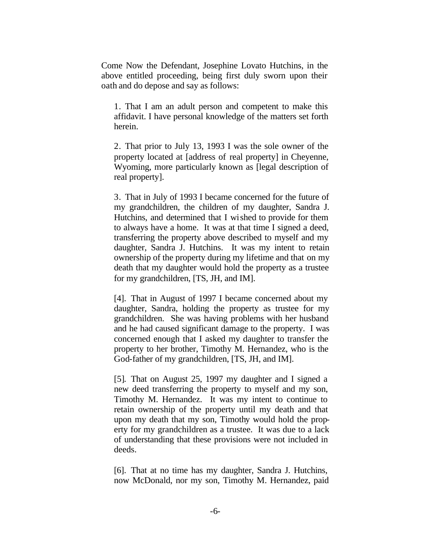Come Now the Defendant, Josephine Lovato Hutchins, in the above entitled proceeding, being first duly sworn upon their oath and do depose and say as follows:

1. That I am an adult person and competent to make this affidavit. I have personal knowledge of the matters set forth herein.

2. That prior to July 13, 1993 I was the sole owner of the property located at [address of real property] in Cheyenne, Wyoming, more particularly known as [legal description of real property].

3. That in July of 1993 I became concerned for the future of my grandchildren, the children of my daughter, Sandra J. Hutchins, and determined that I wished to provide for them to always have a home. It was at that time I signed a deed, transferring the property above described to myself and my daughter, Sandra J. Hutchins. It was my intent to retain ownership of the property during my lifetime and that on my death that my daughter would hold the property as a trustee for my grandchildren, [TS, JH, and IM].

[4]. That in August of 1997 I became concerned about my daughter, Sandra, holding the property as trustee for my grandchildren. She was having problems with her husband and he had caused significant damage to the property. I was concerned enough that I asked my daughter to transfer the property to her brother, Timothy M. Hernandez, who is the God-father of my grandchildren, [TS, JH, and IM].

[5]. That on August 25, 1997 my daughter and I signed a new deed transferring the property to myself and my son, Timothy M. Hernandez. It was my intent to continue to retain ownership of the property until my death and that upon my death that my son, Timothy would hold the property for my grandchildren as a trustee. It was due to a lack of understanding that these provisions were not included in deeds.

[6]. That at no time has my daughter, Sandra J. Hutchins, now McDonald, nor my son, Timothy M. Hernandez, paid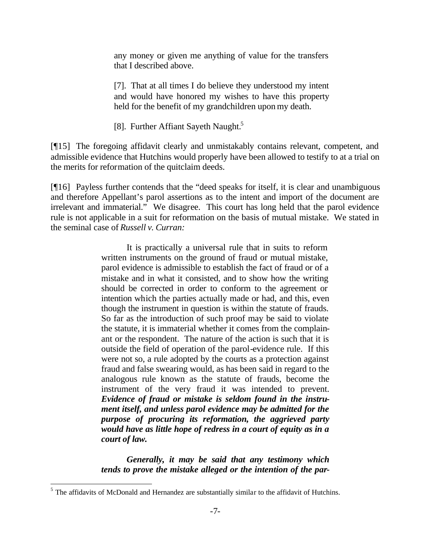any money or given me anything of value for the transfers that I described above.

[7]. That at all times I do believe they understood my intent and would have honored my wishes to have this property held for the benefit of my grandchildren upon my death.

[8]. Further Affiant Sayeth Naught.<sup>5</sup>

[¶15] The foregoing affidavit clearly and unmistakably contains relevant, competent, and admissible evidence that Hutchins would properly have been allowed to testify to at a trial on the merits for reformation of the quitclaim deeds.

[¶16] Payless further contends that the "deed speaks for itself, it is clear and unambiguous and therefore Appellant's parol assertions as to the intent and import of the document are irrelevant and immaterial." We disagree. This court has long held that the parol evidence rule is not applicable in a suit for reformation on the basis of mutual mistake. We stated in the seminal case of *Russell v. Curran:*

> It is practically a universal rule that in suits to reform written instruments on the ground of fraud or mutual mistake, parol evidence is admissible to establish the fact of fraud or of a mistake and in what it consisted, and to show how the writing should be corrected in order to conform to the agreement or intention which the parties actually made or had, and this, even though the instrument in question is within the statute of frauds. So far as the introduction of such proof may be said to violate the statute, it is immaterial whether it comes from the complainant or the respondent. The nature of the action is such that it is outside the field of operation of the parol-evidence rule. If this were not so, a rule adopted by the courts as a protection against fraud and false swearing would, as has been said in regard to the analogous rule known as the statute of frauds, become the instrument of the very fraud it was intended to prevent. *Evidence of fraud or mistake is seldom found in the instrument itself, and unless parol evidence may be admitted for the purpose of procuring its reformation, the aggrieved party would have as little hope of redress in a court of equity as in a court of law.*

> *Generally, it may be said that any testimony which tends to prove the mistake alleged or the intention of the par-*

 $<sup>5</sup>$  The affidavits of McDonald and Hernandez are substantially similar to the affidavit of Hutchins.</sup>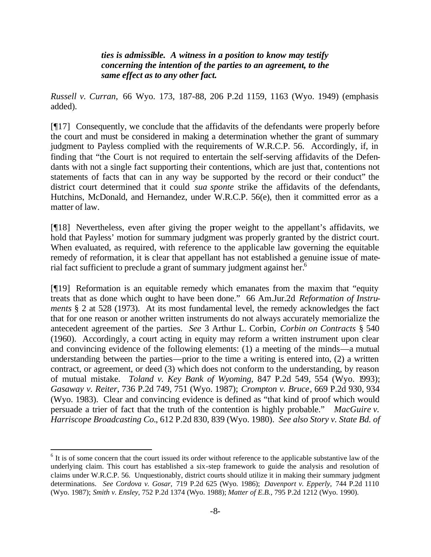*ties is admissible. A witness in a position to know may testify concerning the intention of the parties to an agreement, to the same effect as to any other fact.*

*Russell v. Curran,* 66 Wyo. 173, 187-88, 206 P.2d 1159, 1163 (Wyo. 1949) (emphasis added).

[¶17] Consequently, we conclude that the affidavits of the defendants were properly before the court and must be considered in making a determination whether the grant of summary judgment to Payless complied with the requirements of W.R.C.P. 56. Accordingly, if, in finding that "the Court is not required to entertain the self-serving affidavits of the Defendants with not a single fact supporting their contentions, which are just that, contentions not statements of facts that can in any way be supported by the record or their conduct" the district court determined that it could *sua sponte* strike the affidavits of the defendants, Hutchins, McDonald, and Hernandez, under W.R.C.P. 56(e), then it committed error as a matter of law.

[¶18] Nevertheless, even after giving the proper weight to the appellant's affidavits, we hold that Payless' motion for summary judgment was properly granted by the district court. When evaluated, as required, with reference to the applicable law governing the equitable remedy of reformation, it is clear that appellant has not established a genuine issue of material fact sufficient to preclude a grant of summary judgment against her.<sup>6</sup>

[¶19] Reformation is an equitable remedy which emanates from the maxim that "equity treats that as done which ought to have been done." 66 Am.Jur.2d *Reformation of Instruments* § 2 at 528 (1973). At its most fundamental level, the remedy acknowledges the fact that for one reason or another written instruments do not always accurately memorialize the antecedent agreement of the parties. *See* 3 Arthur L. Corbin, *Corbin on Contracts* § 540 (1960). Accordingly, a court acting in equity may reform a written instrument upon clear and convincing evidence of the following elements: (1) a meeting of the minds—a mutual understanding between the parties—prior to the time a writing is entered into, (2) a written contract, or agreement, or deed (3) which does not conform to the understanding, by reason of mutual mistake. *Toland v. Key Bank of Wyoming,* 847 P.2d 549, 554 (Wyo. 1993); *Gasaway v. Reiter*, 736 P.2d 749, 751 (Wyo. 1987); *Crompton v. Bruce*, 669 P.2d 930, 934 (Wyo. 1983). Clear and convincing evidence is defined as "that kind of proof which would persuade a trier of fact that the truth of the contention is highly probable." *MacGuire v. Harriscope Broadcasting Co.*, 612 P.2d 830, 839 (Wyo. 1980). *See also Story v. State Bd. of* 

 $<sup>6</sup>$  It is of some concern that the court issued its order without reference to the applicable substantive law of the</sup> underlying claim. This court has established a six-step framework to guide the analysis and resolution of claims under W.R.C.P. 56. Unquestionably, district courts should utilize it in making their summary judgment determinations. *See Cordova v. Gosar,* 719 P.2d 625 (Wyo. 1986); *Davenport v. Epperly,* 744 P.2d 1110 (Wyo. 1987); *Smith v. Ensley,* 752 P.2d 1374 (Wyo. 1988); *Matter of E.B.,* 795 P.2d 1212 (Wyo. 1990).